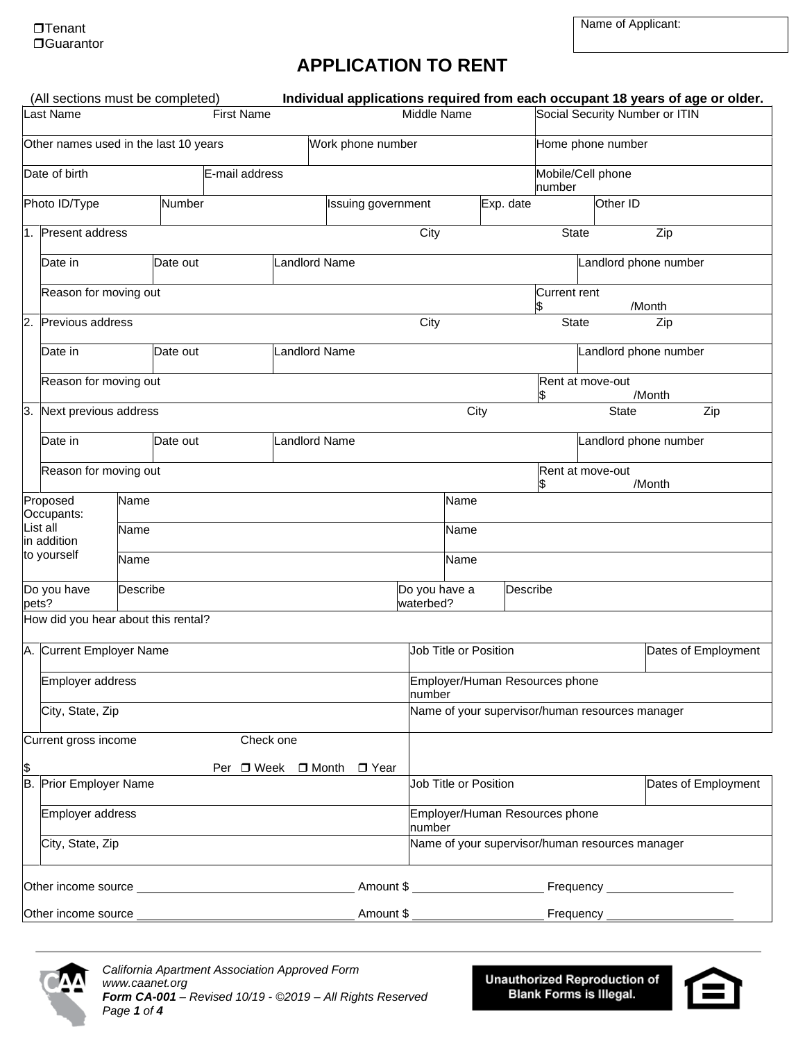# **APPLICATION TO RENT**

| (All sections must be completed)                           |                  |          |          |                                          |                                                 | Individual applications required from each occupant 18 years of age or older. |                                              |      |                       |                           |                       |                                |        |                     |
|------------------------------------------------------------|------------------|----------|----------|------------------------------------------|-------------------------------------------------|-------------------------------------------------------------------------------|----------------------------------------------|------|-----------------------|---------------------------|-----------------------|--------------------------------|--------|---------------------|
| <b>Last Name</b><br><b>First Name</b>                      |                  |          |          | Middle Name                              |                                                 | Social Security Number or ITIN                                                |                                              |      |                       |                           |                       |                                |        |                     |
| Other names used in the last 10 years<br>Work phone number |                  |          |          |                                          | Home phone number                               |                                                                               |                                              |      |                       |                           |                       |                                |        |                     |
| Date of birth<br>E-mail address                            |                  |          |          |                                          |                                                 |                                                                               | Mobile/Cell phone<br>number                  |      |                       |                           |                       |                                |        |                     |
| Photo ID/Type                                              |                  |          | Number   |                                          |                                                 | Issuing government                                                            |                                              |      | Exp. date             |                           |                       | Other ID                       |        |                     |
| 1. Present address                                         |                  |          |          |                                          |                                                 |                                                                               | City                                         |      |                       | <b>State</b>              |                       |                                | Zip    |                     |
| Date in                                                    |                  |          | Date out |                                          | <b>Landlord Name</b>                            |                                                                               |                                              |      |                       |                           | Landlord phone number |                                |        |                     |
| Reason for moving out                                      |                  |          |          |                                          |                                                 |                                                                               |                                              |      |                       | <b>Current rent</b><br>\$ |                       |                                | /Month |                     |
| Previous address<br>2.                                     |                  |          |          |                                          |                                                 |                                                                               | City                                         |      |                       | <b>State</b>              |                       |                                | Zip    |                     |
| Date in                                                    |                  |          | Date out |                                          | Landlord Name                                   |                                                                               |                                              |      |                       |                           |                       | Landlord phone number          |        |                     |
| Reason for moving out                                      |                  |          |          |                                          |                                                 |                                                                               |                                              |      |                       | Rent at move-out          |                       |                                | /Month |                     |
| Next previous address<br>3.                                |                  |          |          |                                          |                                                 |                                                                               |                                              | City |                       |                           |                       | <b>State</b>                   |        | Zip                 |
| Date in                                                    |                  |          | Date out |                                          | Landlord Name                                   |                                                                               |                                              |      |                       |                           |                       | Landlord phone number          |        |                     |
| Reason for moving out                                      |                  |          |          |                                          |                                                 |                                                                               |                                              |      |                       | Rent at move-out<br>\$    |                       |                                | /Month |                     |
| Proposed<br>Occupants:                                     |                  | Name     |          |                                          |                                                 |                                                                               |                                              | Name |                       |                           |                       |                                |        |                     |
| List all<br>in addition                                    |                  | Name     |          |                                          |                                                 | Name                                                                          |                                              |      |                       |                           |                       |                                |        |                     |
| to yourself                                                |                  | Name     |          |                                          |                                                 |                                                                               |                                              | Name |                       |                           |                       |                                |        |                     |
| Do you have<br>pets?                                       |                  | Describe |          |                                          |                                                 |                                                                               | Do you have a<br>waterbed?                   |      | Describe              |                           |                       |                                |        |                     |
| How did you hear about this rental?                        |                  |          |          |                                          |                                                 |                                                                               |                                              |      |                       |                           |                       |                                |        |                     |
| A. Current Employer Name                                   |                  |          |          |                                          |                                                 |                                                                               | Job Title or Position<br>Dates of Employment |      |                       |                           |                       |                                |        |                     |
| Employer address                                           |                  |          |          |                                          |                                                 |                                                                               | Employer/Human Resources phone<br>number     |      |                       |                           |                       |                                |        |                     |
|                                                            | City, State, Zip |          |          |                                          | Name of your supervisor/human resources manager |                                                                               |                                              |      |                       |                           |                       |                                |        |                     |
| Current gross income                                       |                  |          |          | Check one                                |                                                 |                                                                               |                                              |      |                       |                           |                       |                                |        |                     |
| \$<br><b>B.</b> Prior Employer Name                        |                  |          |          |                                          |                                                 | Per □ Week □ Month □ Year                                                     |                                              |      | Job Title or Position |                           |                       |                                |        | Dates of Employment |
|                                                            |                  |          |          |                                          |                                                 |                                                                               |                                              |      |                       |                           |                       |                                |        |                     |
| Employer address                                           |                  |          |          | Employer/Human Resources phone<br>number |                                                 |                                                                               |                                              |      |                       |                           |                       |                                |        |                     |
|                                                            | City, State, Zip |          |          |                                          |                                                 | Name of your supervisor/human resources manager                               |                                              |      |                       |                           |                       |                                |        |                     |
|                                                            |                  |          |          |                                          |                                                 |                                                                               |                                              |      |                       |                           |                       |                                |        |                     |
| Other income source                                        |                  |          |          |                                          |                                                 | Amount \$_                                                                    |                                              |      |                       |                           |                       | Frequency ____________________ |        |                     |



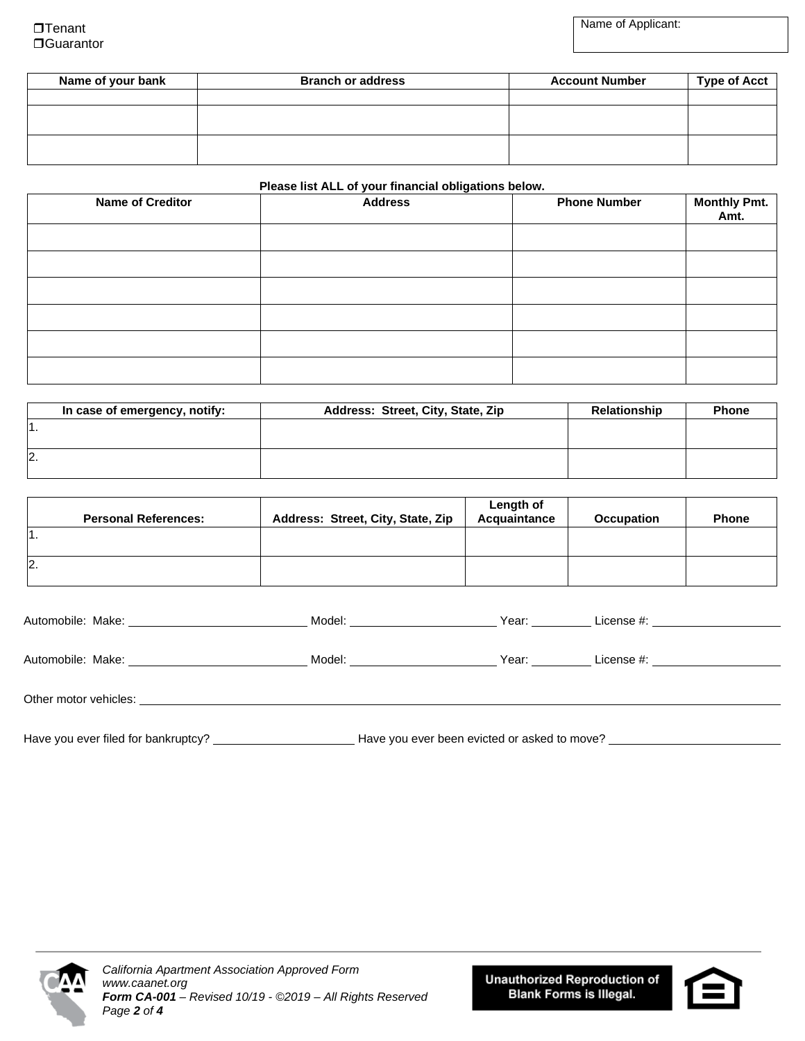| Name of your bank | <b>Branch or address</b> | <b>Account Number</b> | <b>Type of Acct</b> |
|-------------------|--------------------------|-----------------------|---------------------|
|                   |                          |                       |                     |
|                   |                          |                       |                     |
|                   |                          |                       |                     |
|                   |                          |                       |                     |
|                   |                          |                       |                     |

#### **Please list ALL of your financial obligations below.**

| <b>Name of Creditor</b> | $\overline{\phantom{0}}$<br><b>Address</b> | <b>Phone Number</b> | Monthly Pmt.<br>Amt. |
|-------------------------|--------------------------------------------|---------------------|----------------------|
|                         |                                            |                     |                      |
|                         |                                            |                     |                      |
|                         |                                            |                     |                      |
|                         |                                            |                     |                      |
|                         |                                            |                     |                      |
|                         |                                            |                     |                      |

| In case of emergency, notify: | Address: Street, City, State, Zip | <b>Relationship</b> | <b>Phone</b> |
|-------------------------------|-----------------------------------|---------------------|--------------|
|                               |                                   |                     |              |
|                               |                                   |                     |              |
| I2                            |                                   |                     |              |
|                               |                                   |                     |              |

| <b>Personal References:</b> | Address: Street, City, State, Zip | Length of<br>Acquaintance | <b>Occupation</b> | <b>Phone</b> |
|-----------------------------|-----------------------------------|---------------------------|-------------------|--------------|
| l1.                         |                                   |                           |                   |              |
| 2.                          |                                   |                           |                   |              |

| Model: <b>Example 2019</b> | Year: www. | License #: ______________________ |
|----------------------------|------------|-----------------------------------|
|                            |            |                                   |
| Model:                     | Year:      | License $\#$ :                    |
|                            |            |                                   |
|                            |            |                                   |

Have you ever filed for bankruptcy? Have you ever been evicted or asked to move?



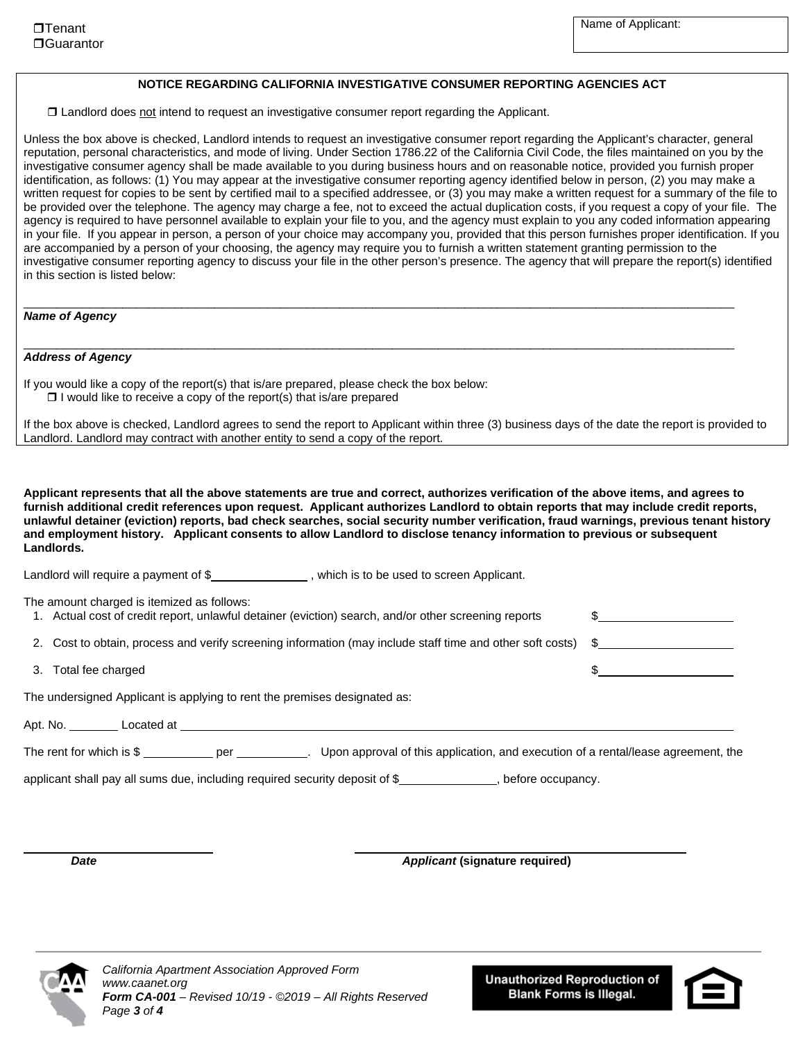#### **NOTICE REGARDING CALIFORNIA INVESTIGATIVE CONSUMER REPORTING AGENCIES ACT**

Landlord does not intend to request an investigative consumer report regarding the Applicant.

Unless the box above is checked, Landlord intends to request an investigative consumer report regarding the Applicant's character, general reputation, personal characteristics, and mode of living. Under Section 1786.22 of the California Civil Code, the files maintained on you by the investigative consumer agency shall be made available to you during business hours and on reasonable notice, provided you furnish proper identification, as follows: (1) You may appear at the investigative consumer reporting agency identified below in person, (2) you may make a written request for copies to be sent by certified mail to a specified addressee, or (3) you may make a written request for a summary of the file to be provided over the telephone. The agency may charge a fee, not to exceed the actual duplication costs, if you request a copy of your file. The agency is required to have personnel available to explain your file to you, and the agency must explain to you any coded information appearing in your file. If you appear in person, a person of your choice may accompany you, provided that this person furnishes proper identification. If you are accompanied by a person of your choosing, the agency may require you to furnish a written statement granting permission to the investigative consumer reporting agency to discuss your file in the other person's presence. The agency that will prepare the report(s) identified in this section is listed below:

\_\_\_\_\_\_\_\_\_\_\_\_\_\_\_\_\_\_\_\_\_\_\_\_\_\_\_\_\_\_\_\_\_\_\_\_\_\_\_\_\_\_\_\_\_\_\_\_\_\_\_\_\_\_\_\_\_\_\_\_\_\_\_\_\_\_\_\_\_\_\_\_\_\_\_\_\_\_\_\_\_\_\_\_\_\_\_\_\_\_\_\_\_\_\_\_\_\_\_\_\_\_\_\_\_\_\_\_

\_\_\_\_\_\_\_\_\_\_\_\_\_\_\_\_\_\_\_\_\_\_\_\_\_\_\_\_\_\_\_\_\_\_\_\_\_\_\_\_\_\_\_\_\_\_\_\_\_\_\_\_\_\_\_\_\_\_\_\_\_\_\_\_\_\_\_\_\_\_\_\_\_\_\_\_\_\_\_\_\_\_\_\_\_\_\_\_\_\_\_\_\_\_\_\_\_\_\_\_\_\_\_\_\_\_\_\_

#### *Name of Agency*

#### *Address of Agency*

If you would like a copy of the report(s) that is/are prepared, please check the box below:  $\Box$  I would like to receive a copy of the report(s) that is/are prepared

If the box above is checked, Landlord agrees to send the report to Applicant within three (3) business days of the date the report is provided to Landlord. Landlord may contract with another entity to send a copy of the report.

**Applicant represents that all the above statements are true and correct, authorizes verification of the above items, and agrees to furnish additional credit references upon request. Applicant authorizes Landlord to obtain reports that may include credit reports, unlawful detainer (eviction) reports, bad check searches, social security number verification, fraud warnings, previous tenant history and employment history. Applicant consents to allow Landlord to disclose tenancy information to previous or subsequent Landlords.** 

Landlord will require a payment of \$\_\_\_\_\_\_\_\_\_\_\_\_\_\_\_\_\_\_\_\_, which is to be used to screen Applicant.

| The amount charged is itemized as follows:<br>1. Actual cost of credit report, unlawful detainer (eviction) search, and/or other screening reports |  |
|----------------------------------------------------------------------------------------------------------------------------------------------------|--|
| 2. Cost to obtain, process and verify screening information (may include staff time and other soft costs) \$                                       |  |
| 3. Total fee charged                                                                                                                               |  |
| The undersigned Applicant is applying to rent the premises designated as:                                                                          |  |
|                                                                                                                                                    |  |
| The rent for which is $\$\$ per $\qquad \qquad$ .<br>Upon approval of this application, and execution of a rental/lease agreement, the             |  |
| applicant shall pay all sums due, including required security deposit of \$<br>before occupancy.                                                   |  |

*Date Applicant* **(signature required)**



*California Apartment Association Approved Form www.caanet.org Form CA-001 – Revised 10/19 - ©2019 – All Rights Reserved Page 3 of 4*